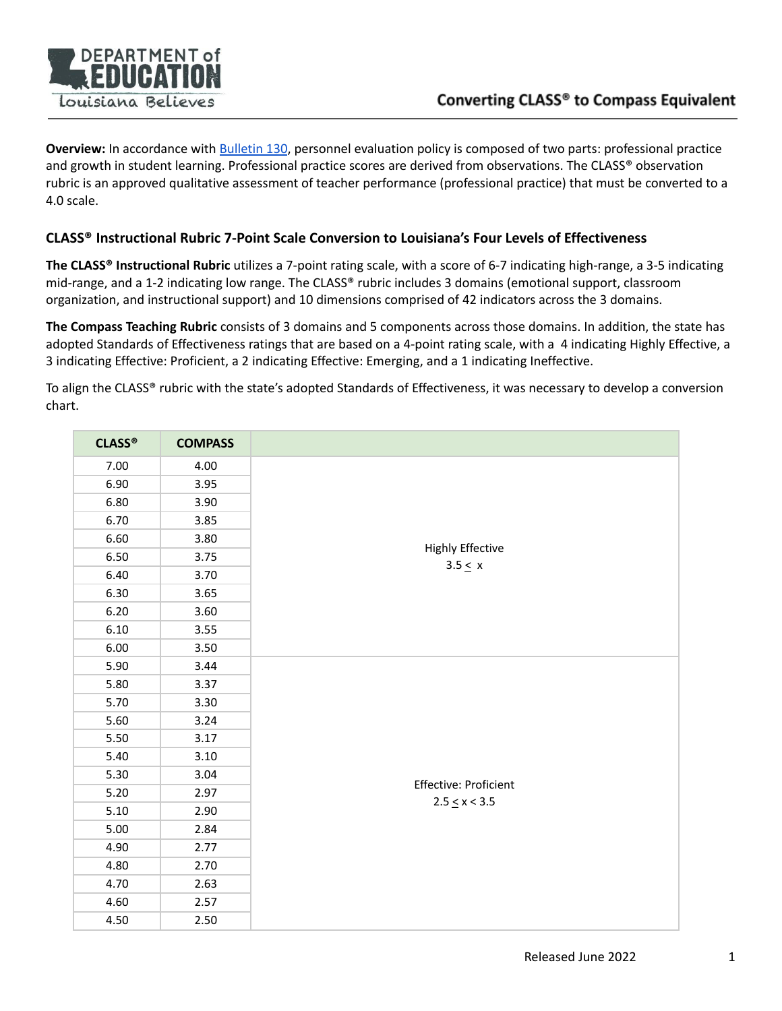

**Overview:** In accordance with **[Bulletin](https://www.doa.la.gov/media/arnl1o0r/28v147.doc) 130**, personnel evaluation policy is composed of two parts: professional practice and growth in student learning. Professional practice scores are derived from observations. The CLASS® observation rubric is an approved qualitative assessment of teacher performance (professional practice) that must be converted to a 4.0 scale.

## **CLASS® Instructional Rubric 7-Point Scale Conversion to Louisiana's Four Levels of Effectiveness**

**The CLASS® Instructional Rubric** utilizes a 7-point rating scale, with a score of 6-7 indicating high-range, a 3-5 indicating mid-range, and a 1-2 indicating low range. The CLASS® rubric includes 3 domains (emotional support, classroom organization, and instructional support) and 10 dimensions comprised of 42 indicators across the 3 domains.

**The Compass Teaching Rubric** consists of 3 domains and 5 components across those domains. In addition, the state has adopted Standards of Effectiveness ratings that are based on a 4-point rating scale, with a 4 indicating Highly Effective, a 3 indicating Effective: Proficient, a 2 indicating Effective: Emerging, and a 1 indicating Ineffective.

To align the CLASS® rubric with the state's adopted Standards of Effectiveness, it was necessary to develop a conversion chart.

| <b>CLASS®</b> | <b>COMPASS</b> |                                  |
|---------------|----------------|----------------------------------|
| 7.00          | 4.00           |                                  |
| 6.90          | 3.95           |                                  |
| 6.80          | 3.90           |                                  |
| 6.70          | 3.85           |                                  |
| 6.60          | 3.80           |                                  |
| 6.50          | 3.75           | Highly Effective<br>$3.5 \leq x$ |
| 6.40          | 3.70           |                                  |
| 6.30          | 3.65           |                                  |
| 6.20          | 3.60           |                                  |
| 6.10          | 3.55           |                                  |
| 6.00          | 3.50           |                                  |
| 5.90          | 3.44           |                                  |
| 5.80          | 3.37           |                                  |
| 5.70          | 3.30           |                                  |
| 5.60          | 3.24           |                                  |
| 5.50          | 3.17           |                                  |
| 5.40          | 3.10           |                                  |
| 5.30          | 3.04           | Effective: Proficient            |
| 5.20          | 2.97           | $2.5 \leq x < 3.5$               |
| 5.10          | 2.90           |                                  |
| 5.00          | 2.84           |                                  |
| 4.90          | 2.77           |                                  |
| 4.80          | 2.70           |                                  |
| 4.70          | 2.63           |                                  |
| 4.60          | 2.57           |                                  |
| 4.50          | 2.50           |                                  |